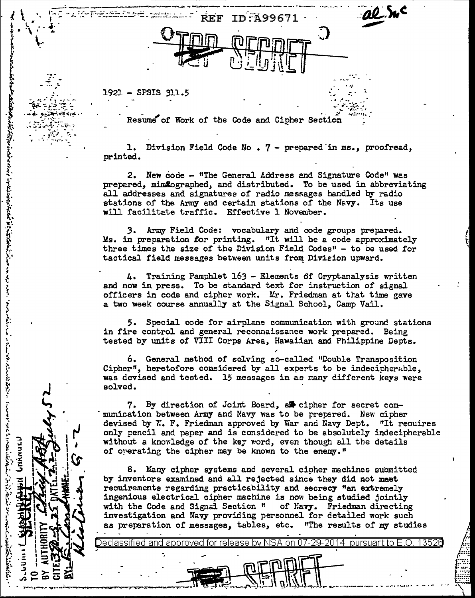$1921 - SPSIS 311.5$ 

**The Second Second Second Second Second Second Second Second Second Second Second Second Second Second Second Second Second Second Second Second Second Second Second Second Second Second Second Second Second Second Second** 

Resume of Work of the Code and Cipher Section

**REF ID: A99671** 

1. Division Field Code No. 7 - prepared in ms., proofread, printed.

2. New code - "The General Address and Signature Code" was prepared, mimlographed, and distributed. To be used in abbreviating all addresses and signatures of radio messages handled by radio stations of the Army and certain stations of the Navy. Its use will facilitate traffic. Effective 1 November.

3. Army Field Code: vocabulary and code groups prepared. Ms. in preparation for printing. "It will be a code approximately three times the size of the Division Field Codes" - to be used for tactical field messages between units from Division upward.

4. Training Pamphlet 163 - Elements of Cryptanalysis written and now in press. To be standard text for instruction of signal officers in code and cipher work. Mr. Friedman at that time gave a two week course annually at the Signal School, Camp Vail.

5. Special code for airplane communication with ground stations in fire control and general reconnaissance work prepared. Being tested by units of VIII Corps Area, Hawaiian and Philippine Depts.

6. General method of solving so-called "Double Transposition Cipher", heretofore considered by all experts to be indecipherable. was devised and tested. 15 messages in as many different keys were solved.

7. By direction of Joint Board, as cipher for secret communication between Army and Navy was to be prepared. New cipher devised by W. F. Friedman approved by War and Navy Dept. "It requires only pencil and paper and is considered to be absolutely indecipherable without a knowledge of the key word, even though all the details of operating the cipher may be known to the enemy."

8. Many cipher systems and several cipher machines submitted by inventors examined and all rejected since they did not meet requirements regarding practicability and secrecy "an extremely ingenious electrical cipher machine is now being studied jointly with the Code and Signal Section " of Navy. Friedman directing investigation and Navy providing personnel for detailed work such as preparation of messages, tables, etc. "The results of my studies

on 07-29-2014 pursuant to  $E.O.$ 

eclassified and approved for release by NSA